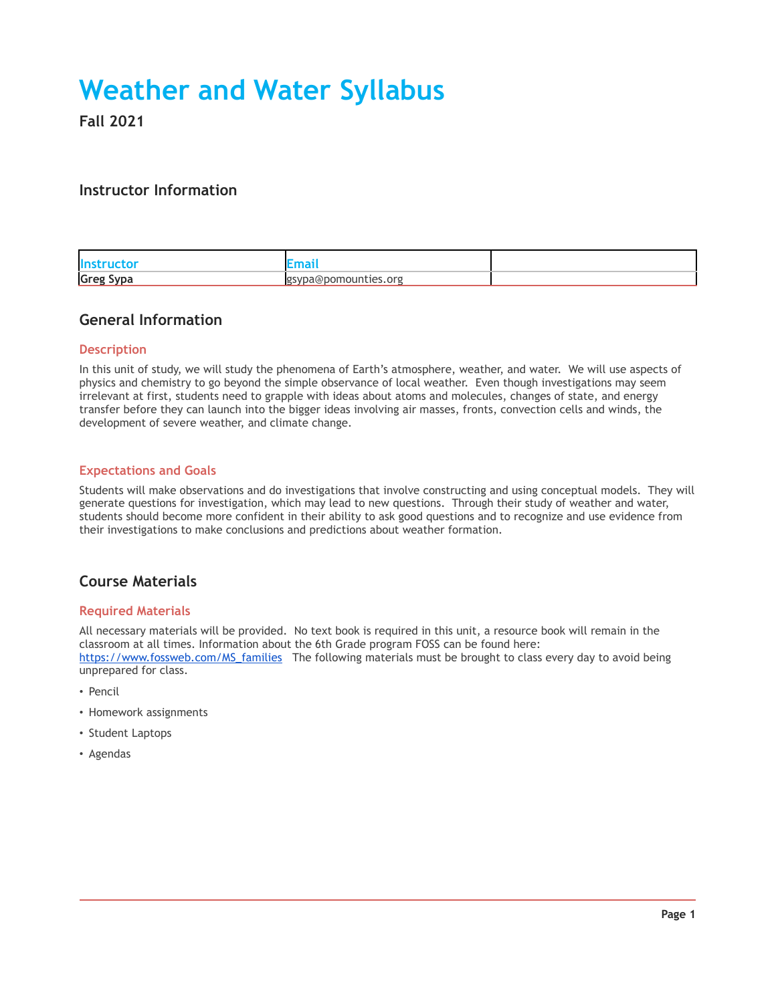# **Weather and Water Syllabus**

**Fall 2021**

## **Instructor Information**

| <b>Instructor</b> |                      |  |
|-------------------|----------------------|--|
| <b>Greg Sypa</b>  | gsypa@pomounties.org |  |

## **General Information**

#### **Description**

In this unit of study, we will study the phenomena of Earth's atmosphere, weather, and water. We will use aspects of physics and chemistry to go beyond the simple observance of local weather. Even though investigations may seem irrelevant at first, students need to grapple with ideas about atoms and molecules, changes of state, and energy transfer before they can launch into the bigger ideas involving air masses, fronts, convection cells and winds, the development of severe weather, and climate change.

#### **Expectations and Goals**

Students will make observations and do investigations that involve constructing and using conceptual models. They will generate questions for investigation, which may lead to new questions. Through their study of weather and water, students should become more confident in their ability to ask good questions and to recognize and use evidence from their investigations to make conclusions and predictions about weather formation.

## **Course Materials**

#### **Required Materials**

All necessary materials will be provided. No text book is required in this unit, a resource book will remain in the classroom at all times. Information about the 6th Grade program FOSS can be found here: [https://www.fossweb.com/MS\\_families](https://www.fossweb.com/MS_families) The following materials must be brought to class every day to avoid being unprepared for class.

- Pencil
- Homework assignments
- Student Laptops
- Agendas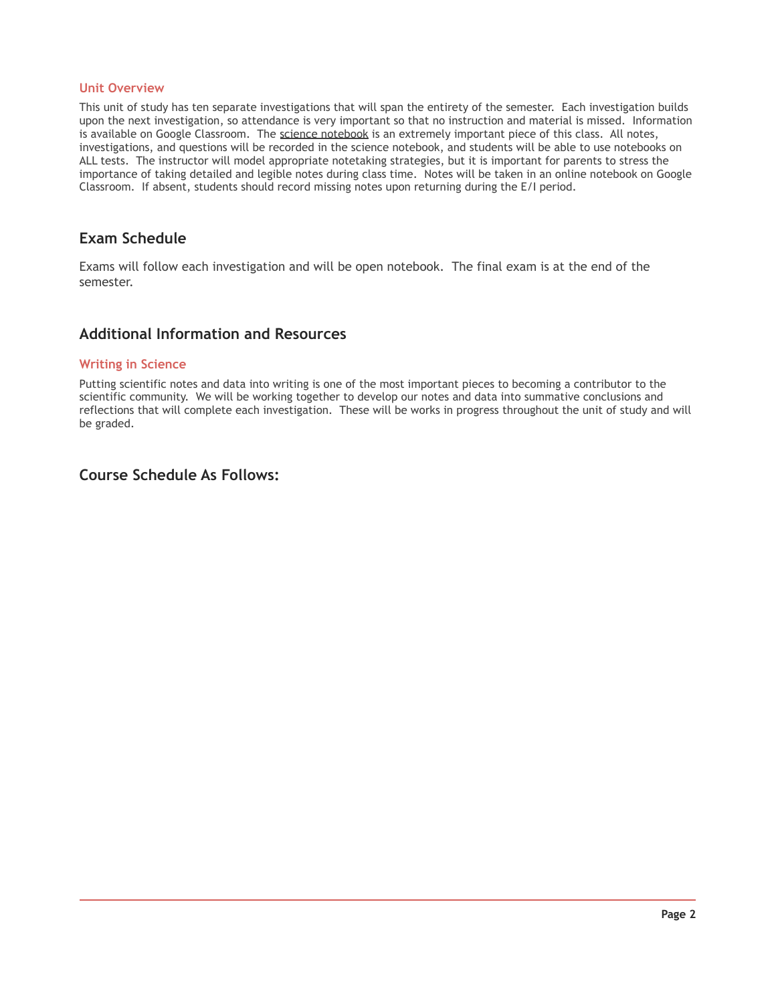#### **Unit Overview**

This unit of study has ten separate investigations that will span the entirety of the semester. Each investigation builds upon the next investigation, so attendance is very important so that no instruction and material is missed. Information is available on Google Classroom. The science notebook is an extremely important piece of this class. All notes, investigations, and questions will be recorded in the science notebook, and students will be able to use notebooks on ALL tests. The instructor will model appropriate notetaking strategies, but it is important for parents to stress the importance of taking detailed and legible notes during class time. Notes will be taken in an online notebook on Google Classroom. If absent, students should record missing notes upon returning during the E/I period.

## **Exam Schedule**

Exams will follow each investigation and will be open notebook. The final exam is at the end of the semester.

### **Additional Information and Resources**

#### **Writing in Science**

Putting scientific notes and data into writing is one of the most important pieces to becoming a contributor to the scientific community. We will be working together to develop our notes and data into summative conclusions and reflections that will complete each investigation. These will be works in progress throughout the unit of study and will be graded.

## **Course Schedule As Follows:**